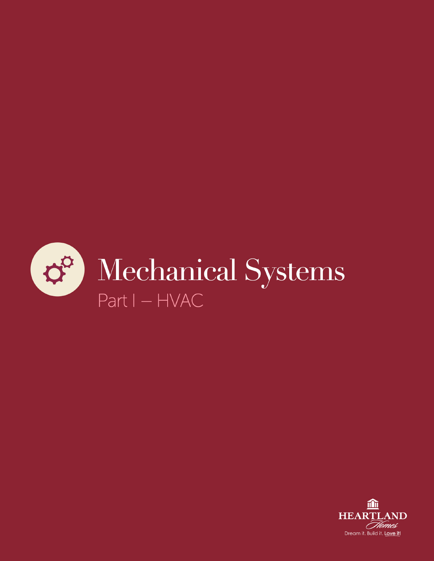

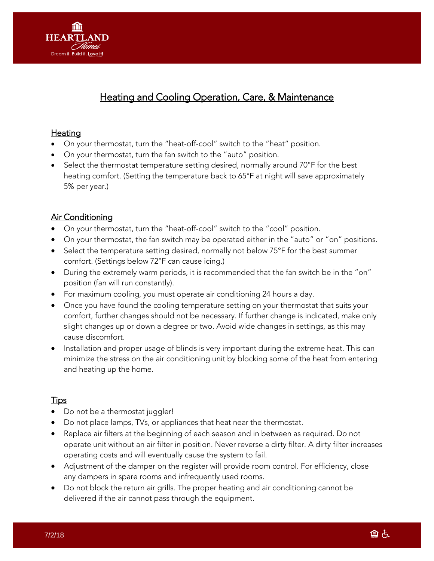

# Heating and Cooling Operation, Care, & Maintenance

#### **Heating**

- On your thermostat, turn the "heat-off-cool" switch to the "heat" position.
- On your thermostat, turn the fan switch to the "auto" position.
- Select the thermostat temperature setting desired, normally around 70°F for the best heating comfort. (Setting the temperature back to 65°F at night will save approximately 5% per year.)

### **Air Conditioning**

- On your thermostat, turn the "heat-off-cool" switch to the "cool" position.
- On your thermostat, the fan switch may be operated either in the "auto" or "on" positions.
- Select the temperature setting desired, normally not below 75°F for the best summer comfort. (Settings below 72°F can cause icing.)
- During the extremely warm periods, it is recommended that the fan switch be in the "on" position (fan will run constantly).
- For maximum cooling, you must operate air conditioning 24 hours a day.
- Once you have found the cooling temperature setting on your thermostat that suits your comfort, further changes should not be necessary. If further change is indicated, make only slight changes up or down a degree or two. Avoid wide changes in settings, as this may cause discomfort.
- Installation and proper usage of blinds is very important during the extreme heat. This can minimize the stress on the air conditioning unit by blocking some of the heat from entering and heating up the home.

## Tips

- Do not be a thermostat juggler!
- Do not place lamps, TVs, or appliances that heat near the thermostat.
- Replace air filters at the beginning of each season and in between as required. Do not operate unit without an air filter in position. Never reverse a dirty filter. A dirty filter increases operating costs and will eventually cause the system to fail.
- Adjustment of the damper on the register will provide room control. For efficiency, close any dampers in spare rooms and infrequently used rooms.
- Do not block the return air grills. The proper heating and air conditioning cannot be delivered if the air cannot pass through the equipment.

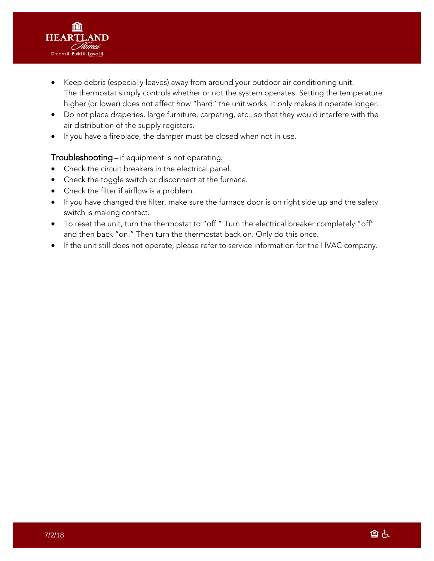

- Keep debris (especially leaves) away from around your outdoor air conditioning unit. The thermostat simply controls whether or not the system operates. Setting the temperature higher (or lower) does not affect how "hard" the unit works. It only makes it operate longer.
- Do not place draperies, large furniture, carpeting, etc., so that they would interfere with the air distribution of the supply registers.
- If you have a fireplace, the damper must be closed when not in use.

#### **Troubleshooting** – if equipment is not operating.

- Check the circuit breakers in the electrical panel.
- Check the toggle switch or disconnect at the furnace.
- Check the filter if airflow is a problem.
- If you have changed the filter, make sure the furnace door is on right side up and the safety switch is making contact.
- To reset the unit, turn the thermostat to "off." Turn the electrical breaker completely "off" and then back "on." Then turn the thermostat back on. Only do this once.
- If the unit still does not operate, please refer to service information for the HVAC company.